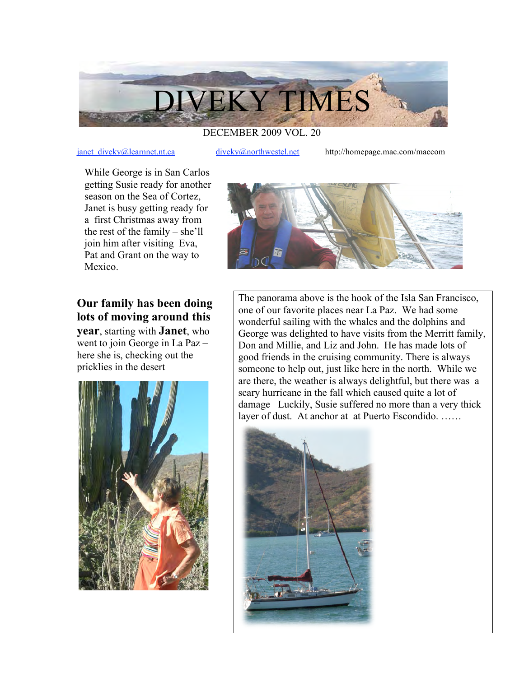

## DECEMBER 2009 VOL. 20

janet diveky@learnnet.nt.ca diveky@northwestel.net http://homepage.mac.com/maccom

While George is in San Carlos getting Susie ready for another season on the Sea of Cortez, Janet is busy getting ready for a first Christmas away from the rest of the family – she'll join him after visiting Eva, Pat and Grant on the way to Mexico.

## **Our family has been doing lots of moving around this**

**year**, starting with **Janet**, who went to join George in La Paz – here she is, checking out the pricklies in the desert





The panorama above is the hook of the Isla San Francisco, one of our favorite places near La Paz. We had some wonderful sailing with the whales and the dolphins and George was delighted to have visits from the Merritt family, Don and Millie, and Liz and John. He has made lots of good friends in the cruising community. There is always someone to help out, just like here in the north. While we are there, the weather is always delightful, but there was a scary hurricane in the fall which caused quite a lot of damage Luckily, Susie suffered no more than a very thick layer of dust. At anchor at at Puerto Escondido. ……

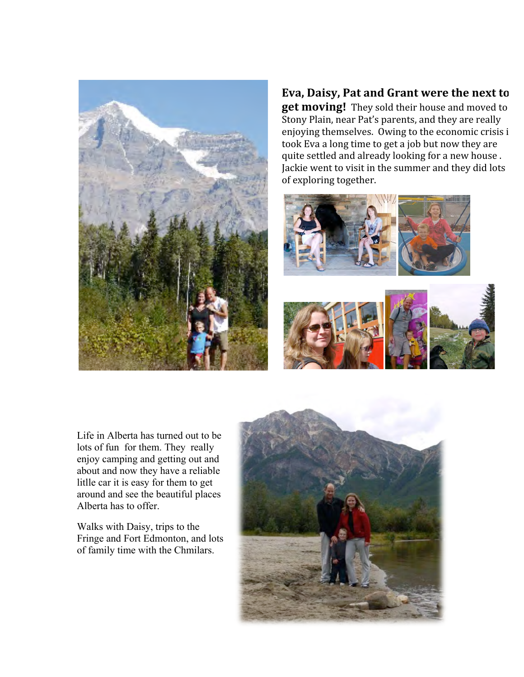

## **Eva,
Daisy,
Pat
and
Grant
were
the
next
to get moving!** They sold their house and moved to

Stony Plain, near Pat's parents, and they are really enjoying themselves. Owing to the economic crisis i took Eva a long time to get a job but now they are quite
settled
and
already
looking
for
a
new
house
. Jackie went to visit in the summer and they did lots of
exploring
together.





Life in Alberta has turned out to be lots of fun for them. They really enjoy camping and getting out and about and now they have a reliable litlle car it is easy for them to get around and see the beautiful places Alberta has to offer.

Walks with Daisy, trips to the Fringe and Fort Edmonton, and lots of family time with the Chmilars.

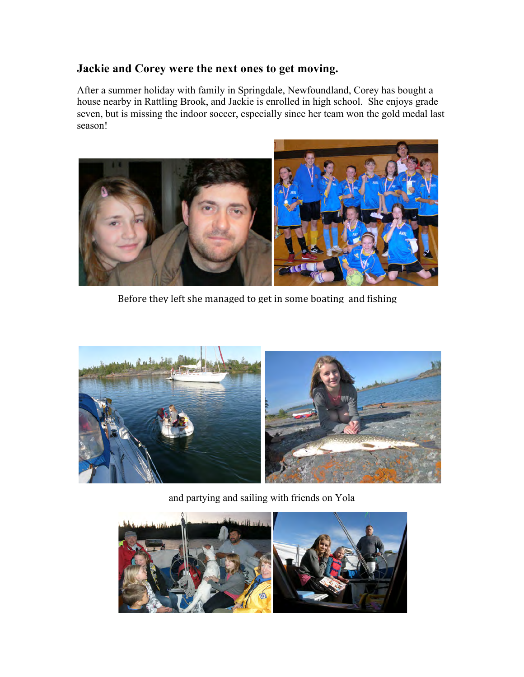## **Jackie and Corey were the next ones to get moving.**

After a summer holiday with family in Springdale, Newfoundland, Corey has bought a house nearby in Rattling Brook, and Jackie is enrolled in high school. She enjoys grade seven, but is missing the indoor soccer, especially since her team won the gold medal last season!



Before they left she managed to get in some boating and fishing



and partying and sailing with friends on Yola

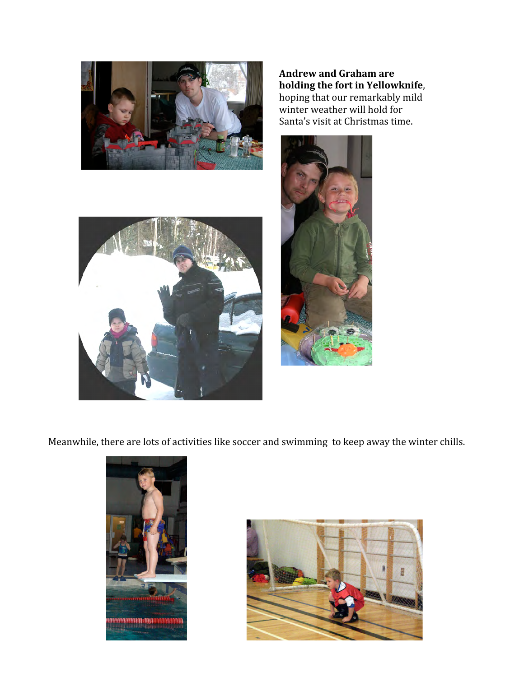

**Andrew
and
Graham
are holding
the
fort
in
Yellowknife**, hoping
that
our
remarkably
mild winter weather will hold for Santa's
visit
at
Christmas
time.





Meanwhile, there are lots of activities like soccer and swimming to keep away the winter chills.